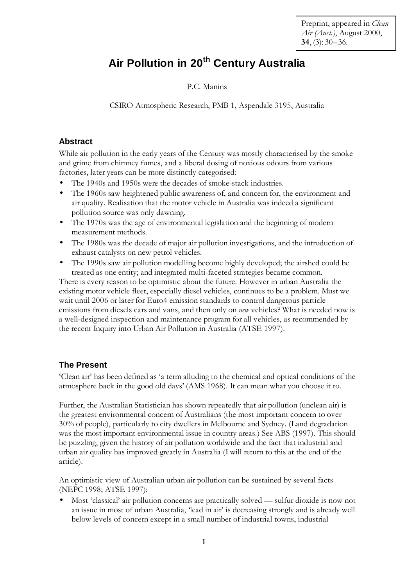Preprint, appeared in *Clean Air (Aust.)*, August 2000, **34**, (3): 30–36.

# **Air Pollution in 20th Century Australia**

P.C. Manins

CSIRO Atmospheric Research, PMB 1, Aspendale 3195, Australia

## **Abstract**

While air pollution in the early years of the Century was mostly characterised by the smoke and grime from chimney fumes, and a liberal dosing of noxious odours from various factories, later years can be more distinctly categorised:

- The 1940s and 1950s were the decades of smoke-stack industries.
- The 1960s saw heightened public awareness of, and concern for, the environment and air quality. Realisation that the motor vehicle in Australia was indeed a significant pollution source was only dawning.
- The 1970s was the age of environmental legislation and the beginning of modern measurement methods.
- The 1980s was the decade of major air pollution investigations, and the introduction of exhaust catalysts on new petrol vehicles.
- The 1990s saw air pollution modelling become highly developed; the airshed could be treated as one entity; and integrated multi-faceted strategies became common.

There is every reason to be optimistic about the future. However in urban Australia the existing motor vehicle fleet, especially diesel vehicles, continues to be a problem. Must we wait until 2006 or later for Euro4 emission standards to control dangerous particle emissions from diesels cars and vans, and then only on *new* vehicles? What is needed now is a well-designed inspection and maintenance program for all vehicles, as recommended by the recent Inquiry into Urban Air Pollution in Australia (ATSE 1997).

## **The Present**

'Clean air' has been defined as 'a term alluding to the chemical and optical conditions of the atmosphere back in the good old days' (AMS 1968). It can mean what you choose it to.

Further, the Australian Statistician has shown repeatedly that air pollution (unclean air) is the greatest environmental concern of Australians (the most important concern to over 30% of people), particularly to city dwellers in Melbourne and Sydney. (Land degradation was the most important environmental issue in country areas.) See ABS (1997). This should be puzzling, given the history of air pollution worldwide and the fact that industrial and urban air quality has improved greatly in Australia (I will return to this at the end of the article).

An optimistic view of Australian urban air pollution can be sustained by several facts (NEPC 1998; ATSE 1997):

• Most 'classical' air pollution concerns are practically solved — sulfur dioxide is now not an issue in most of urban Australia, 'lead in air' is decreasing strongly and is already well below levels of concern except in a small number of industrial towns, industrial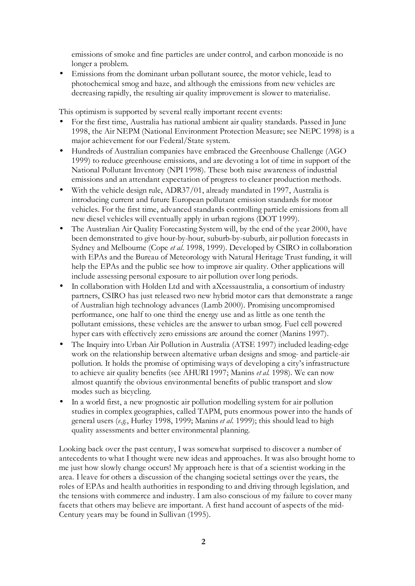emissions of smoke and fine particles are under control, and carbon monoxide is no longer a problem.

• Emissions from the dominant urban pollutant source, the motor vehicle, lead to photochemical smog and haze, and although the emissions from new vehicles are decreasing rapidly, the resulting air quality improvement is slower to materialise.

This optimism is supported by several really important recent events:

- For the first time, Australia has national ambient air quality standards. Passed in June 1998, the Air NEPM (National Environment Protection Measure; see NEPC 1998) is a major achievement for our Federal/State system.
- Hundreds of Australian companies have embraced the Greenhouse Challenge (AGO 1999) to reduce greenhouse emissions, and are devoting a lot of time in support of the National Pollutant Inventory (NPI 1998). These both raise awareness of industrial emissions and an attendant expectation of progress to cleaner production methods.
- With the vehicle design rule, ADR37/01, already mandated in 1997, Australia is introducing current and future European pollutant emission standards for motor vehicles. For the first time, advanced standards controlling particle emissions from all new diesel vehicles will eventually apply in urban regions (DOT 1999).
- The Australian Air Quality Forecasting System will, by the end of the year 2000, have been demonstrated to give hour-by-hour, suburb-by-suburb, air pollution forecasts in Sydney and Melbourne (Cope *et al.* 1998, 1999). Developed by CSIRO in collaboration with EPAs and the Bureau of Meteorology with Natural Heritage Trust funding, it will help the EPAs and the public see how to improve air quality. Other applications will include assessing personal exposure to air pollution over long periods.
- In collaboration with Holden Ltd and with aXcessaustralia, a consortium of industry partners, CSIRO has just released two new hybrid motor cars that demonstrate a range of Australian high technology advances (Lamb 2000). Promising uncompromised performance, one half to one third the energy use and as little as one tenth the pollutant emissions, these vehicles are the answer to urban smog. Fuel cell powered hyper cars with effectively zero emissions are around the corner (Manins 1997).
- The Inquiry into Urban Air Pollution in Australia (ATSE 1997) included leading-edge work on the relationship between alternative urban designs and smog- and particle-air pollution. It holds the promise of optimising ways of developing a city's infrastructure to achieve air quality benefits (see AHURI 1997; Manins *et al*. 1998). We can now almost quantify the obvious environmental benefits of public transport and slow modes such as bicycling.
- In a world first, a new prognostic air pollution modelling system for air pollution studies in complex geographies, called TAPM, puts enormous power into the hands of general users (*e.g.*, Hurley 1998, 1999; Manins *et al.* 1999); this should lead to high quality assessments and better environmental planning.

Looking back over the past century, I was somewhat surprised to discover a number of antecedents to what I thought were new ideas and approaches. It was also brought home to me just how slowly change occurs! My approach here is that of a scientist working in the area. I leave for others a discussion of the changing societal settings over the years, the roles of EPAs and health authorities in responding to and driving through legislation, and the tensions with commerce and industry. I am also conscious of my failure to cover many facets that others may believe are important. A first hand account of aspects of the mid-Century years may be found in Sullivan (1995).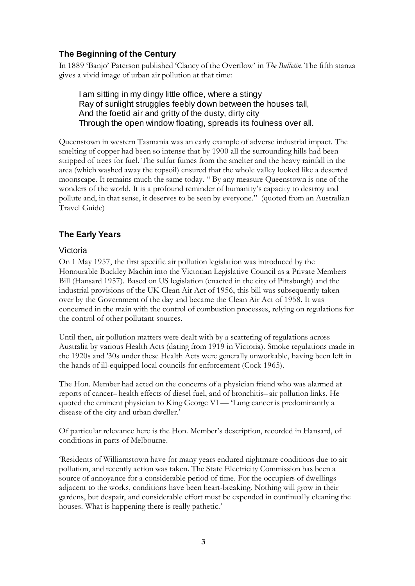## **The Beginning of the Century**

In 1889 'Banjo' Paterson published 'Clancy of the Overflow' in *The Bulletin*. The fifth stanza gives a vivid image of urban air pollution at that time:

I am sitting in my dingy little office, where a stingy Ray of sunlight struggles feebly down between the houses tall, And the foetid air and gritty of the dusty, dirty city Through the open window floating, spreads its foulness over all.

Queenstown in western Tasmania was an early example of adverse industrial impact. The smelting of copper had been so intense that by 1900 all the surrounding hills had been stripped of trees for fuel. The sulfur fumes from the smelter and the heavy rainfall in the area (which washed away the topsoil) ensured that the whole valley looked like a deserted moonscape. It remains much the same today. "By any measure Queenstown is one of the wonders of the world. It is a profound reminder of humanity's capacity to destroy and pollute and, in that sense, it deserves to be seen by everyone." (quoted from an Australian Travel Guide)

## **The Early Years**

#### Victoria

On 1 May 1957, the first specific air pollution legislation was introduced by the Honourable Buckley Machin into the Victorian Legislative Council as a Private Members Bill (Hansard 1957). Based on US legislation (enacted in the city of Pittsburgh) and the industrial provisions of the UK Clean Air Act of 1956, this bill was subsequently taken over by the Government of the day and became the Clean Air Act of 1958. It was concerned in the main with the control of combustion processes, relying on regulations for the control of other pollutant sources.

Until then, air pollution matters were dealt with by a scattering of regulations across Australia by various Health Acts (dating from 1919 in Victoria). Smoke regulations made in the 1920s and '30s under these Health Acts were generally unworkable, having been left in the hands of ill-equipped local councils for enforcement (Cock 1965).

The Hon. Member had acted on the concerns of a physician friend who was alarmed at reports of cancer–health effects of diesel fuel, and of bronchitis–air pollution links. He quoted the eminent physician to King George VI — 'Lung cancer is predominantly a disease of the city and urban dweller.'

Of particular relevance here is the Hon. Member's description, recorded in Hansard, of conditions in parts of Melbourne.

'Residents of Williamstown have for many years endured nightmare conditions due to air pollution, and recently action was taken. The State Electricity Commission has been a source of annoyance for a considerable period of time. For the occupiers of dwellings adjacent to the works, conditions have been heart-breaking. Nothing will grow in their gardens, but despair, and considerable effort must be expended in continually cleaning the houses. What is happening there is really pathetic.'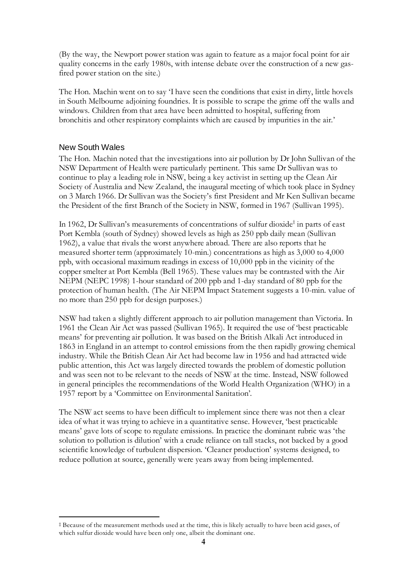(By the way, the Newport power station was again to feature as a major focal point for air quality concerns in the early 1980s, with intense debate over the construction of a new gasfired power station on the site.)

The Hon. Machin went on to say 'I have seen the conditions that exist in dirty, little hovels in South Melbourne adjoining foundries. It is possible to scrape the grime off the walls and windows. Children from that area have been admitted to hospital, suffering from bronchitis and other respiratory complaints which are caused by impurities in the air.'

#### New South Wales

 $\overline{a}$ 

The Hon. Machin noted that the investigations into air pollution by Dr John Sullivan of the NSW Department of Health were particularly pertinent. This same Dr Sullivan was to continue to play a leading role in NSW, being a key activist in setting up the Clean Air Society of Australia and New Zealand, the inaugural meeting of which took place in Sydney on 3 March 1966. Dr Sullivan was the Society's first President and Mr Ken Sullivan became the President of the first Branch of the Society in NSW, formed in 1967 (Sullivan 1995).

In 1962, Dr Sullivan's measurements of concentrations of sulfur dioxide<sup>‡</sup> in parts of east Port Kembla (south of Sydney) showed levels as high as 250 ppb daily mean (Sullivan 1962), a value that rivals the worst anywhere abroad. There are also reports that he measured shorter term (approximately 10-min.) concentrations as high as 3,000 to 4,000 ppb, with occasional maximum readings in excess of 10,000 ppb in the vicinity of the copper smelter at Port Kembla (Bell 1965). These values may be contrasted with the Air NEPM (NEPC 1998) 1-hour standard of 200 ppb and 1-day standard of 80 ppb for the protection of human health. (The Air NEPM Impact Statement suggests a 10-min. value of no more than 250 ppb for design purposes.)

NSW had taken a slightly different approach to air pollution management than Victoria. In 1961 the Clean Air Act was passed (Sullivan 1965). It required the use of 'best practicable means' for preventing air pollution. It was based on the British Alkali Act introduced in 1863 in England in an attempt to control emissions from the then rapidly growing chemical industry. While the British Clean Air Act had become law in 1956 and had attracted wide public attention, this Act was largely directed towards the problem of domestic pollution and was seen not to be relevant to the needs of NSW at the time. Instead, NSW followed in general principles the recommendations of the World Health Organization (WHO) in a 1957 report by a 'Committee on Environmental Sanitation'.

The NSW act seems to have been difficult to implement since there was not then a clear idea of what it was trying to achieve in a quantitative sense. However, 'best practicable means' gave lots of scope to regulate emissions. In practice the dominant rubric was 'the solution to pollution is dilution' with a crude reliance on tall stacks, not backed by a good scientific knowledge of turbulent dispersion. 'Cleaner production' systems designed, to reduce pollution at source, generally were years away from being implemented.

<sup>‡</sup> Because of the measurement methods used at the time, this is likely actually to have been acid gases, of which sulfur dioxide would have been only one, albeit the dominant one.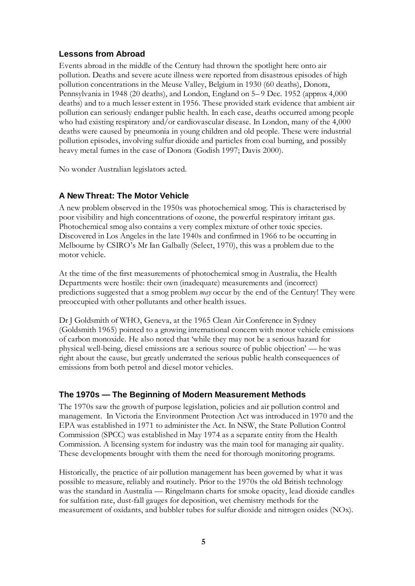## **Lessons from Abroad**

Events abroad in the middle of the Century had thrown the spotlight here onto air pollution. Deaths and severe acute illness were reported from disastrous episodes of high pollution concentrations in the Meuse Valley, Belgium in 1930 (60 deaths), Donora, Pennsylvania in 1948 (20 deaths), and London, England on 5–9 Dec. 1952 (approx 4,000 deaths) and to a much lesser extent in 1956. These provided stark evidence that ambient air pollution can seriously endanger public health. In each case, deaths occurred among people who had existing respiratory and/or cardiovascular disease. In London, many of the 4,000 deaths were caused by pneumonia in young children and old people. These were industrial pollution episodes, involving sulfur dioxide and particles from coal burning, and possibly heavy metal fumes in the case of Donora (Godish 1997; Davis 2000).

No wonder Australian legislators acted.

## **A New Threat: The Motor Vehicle**

A new problem observed in the 1950s was photochemical smog. This is characterised by poor visibility and high concentrations of ozone, the powerful respiratory irritant gas. Photochemical smog also contains a very complex mixture of other toxic species. Discovered in Los Angeles in the late 1940s and confirmed in 1966 to be occurring in Melbourne by CSIRO's Mr Ian Galbally (Select, 1970), this was a problem due to the motor vehicle.

At the time of the first measurements of photochemical smog in Australia, the Health Departments were hostile: their own (inadequate) measurements and (incorrect) predictions suggested that a smog problem *may* occur by the end of the Century! They were preoccupied with other pollutants and other health issues.

Dr J Goldsmith of WHO, Geneva, at the 1965 Clean Air Conference in Sydney (Goldsmith 1965) pointed to a growing international concern with motor vehicle emissions of carbon monoxide. He also noted that 'while they may not be a serious hazard for physical well-being, diesel emissions are a serious source of public objection' — he was right about the cause, but greatly underrated the serious public health consequences of emissions from both petrol and diesel motor vehicles.

## **The 1970s — The Beginning of Modern Measurement Methods**

The 1970s saw the growth of purpose legislation, policies and air pollution control and management. In Victoria the Environment Protection Act was introduced in 1970 and the EPA was established in 1971 to administer the Act. In NSW, the State Pollution Control Commission (SPCC) was established in May 1974 as a separate entity from the Health Commission. A licensing system for industry was the main tool for managing air quality. These developments brought with them the need for thorough monitoring programs.

Historically, the practice of air pollution management has been governed by what it was possible to measure, reliably and routinely. Prior to the 1970s the old British technology was the standard in Australia — Ringelmann charts for smoke opacity, lead dioxide candles for sulfation rate, dust-fall gauges for deposition, wet chemistry methods for the measurement of oxidants, and bubbler tubes for sulfur dioxide and nitrogen oxides (NOx).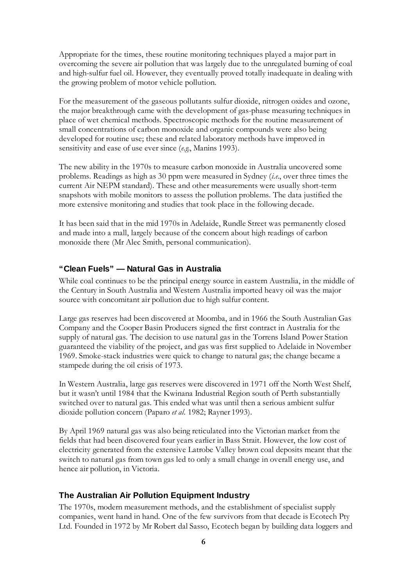Appropriate for the times, these routine monitoring techniques played a major part in overcoming the severe air pollution that was largely due to the unregulated burning of coal and high-sulfur fuel oil. However, they eventually proved totally inadequate in dealing with the growing problem of motor vehicle pollution.

For the measurement of the gaseous pollutants sulfur dioxide, nitrogen oxides and ozone, the major breakthrough came with the development of gas-phase measuring techniques in place of wet chemical methods. Spectroscopic methods for the routine measurement of small concentrations of carbon monoxide and organic compounds were also being developed for routine use; these and related laboratory methods have improved in sensitivity and ease of use ever since (*e.g.*, Manins 1993).

The new ability in the 1970s to measure carbon monoxide in Australia uncovered some problems. Readings as high as 30 ppm were measured in Sydney (*i.e.*, over three times the current Air NEPM standard). These and other measurements were usually short-term snapshots with mobile monitors to assess the pollution problems. The data justified the more extensive monitoring and studies that took place in the following decade.

It has been said that in the mid 1970s in Adelaide, Rundle Street was permanently closed and made into a mall, largely because of the concern about high readings of carbon monoxide there (Mr Alec Smith, personal communication).

## **"Clean Fuels" — Natural Gas in Australia**

While coal continues to be the principal energy source in eastern Australia, in the middle of the Century in South Australia and Western Australia imported heavy oil was the major source with concomitant air pollution due to high sulfur content.

Large gas reserves had been discovered at Moomba, and in 1966 the South Australian Gas Company and the Cooper Basin Producers signed the first contract in Australia for the supply of natural gas. The decision to use natural gas in the Torrens Island Power Station guaranteed the viability of the project, and gas was first supplied to Adelaide in November 1969. Smoke-stack industries were quick to change to natural gas; the change became a stampede during the oil crisis of 1973.

In Western Australia, large gas reserves were discovered in 1971 off the North West Shelf, but it wasn't until 1984 that the Kwinana Industrial Region south of Perth substantially switched over to natural gas. This ended what was until then a serious ambient sulfur dioxide pollution concern (Paparo *et al.* 1982; Rayner 1993).

By April 1969 natural gas was also being reticulated into the Victorian market from the fields that had been discovered four years earlier in Bass Strait. However, the low cost of electricity generated from the extensive Latrobe Valley brown coal deposits meant that the switch to natural gas from town gas led to only a small change in overall energy use, and hence air pollution, in Victoria.

#### **The Australian Air Pollution Equipment Industry**

The 1970s, modern measurement methods, and the establishment of specialist supply companies, went hand in hand. One of the few survivors from that decade is Ecotech Pty Ltd. Founded in 1972 by Mr Robert dal Sasso, Ecotech began by building data loggers and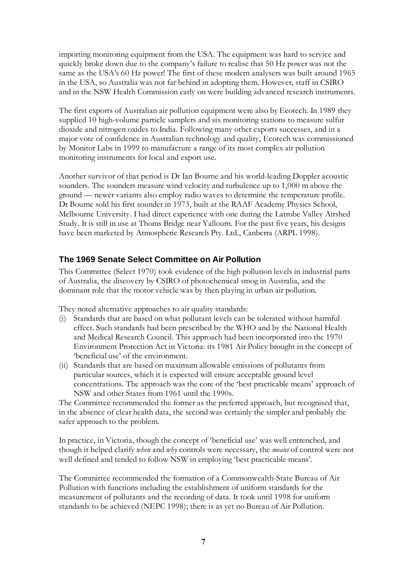importing monitoring equipment from the USA. The equipment was hard to service and quickly broke down due to the company's failure to realise that 50 Hz power was not the same as the USA's 60 Hz power! The first of these modern analysers was built around 1965 in the USA, so Australia was not far behind in adopting them. However, staff in CSIRO and in the NSW Health Commission early on were building advanced research instruments.

The first exports of Australian air pollution equipment were also by Ecotech. In 1989 they supplied 10 high-volume particle samplers and six monitoring stations to measure sulfur dioxide and nitrogen oxides to India. Following many other exports successes, and in a major vote of confidence in Australian technology and quality, Ecotech was commissioned by Monitor Labs in 1999 to manufacture a range of its most complex air pollution monitoring instruments for local and export use.

Another survivor of that period is Dr Ian Bourne and his world-leading Doppler acoustic sounders. The sounders measure wind velocity and turbulence up to 1,000 m above the ground — newer variants also employ radio waves to determine the temperature profile. Dr Bourne sold his first sounder in 1973, built at the RAAF Academy Physics School, Melbourne University. I had direct experience with one during the Latrobe Valley Airshed Study. It is still in use at Thoms Bridge near Yallourn. For the past five years, his designs have been marketed by Atmospheric Research Pty. Ltd., Canberra (ARPL 1998).

#### **The 1969 Senate Select Committee on Air Pollution**

This Committee (Select 1970) took evidence of the high pollution levels in industrial parts of Australia, the discovery by CSIRO of photochemical smog in Australia, and the dominant role that the motor vehicle was by then playing in urban air pollution.

They noted alternative approaches to air quality standards:

- (i) Standards that are based on what pollutant levels can be tolerated without harmful effect. Such standards had been prescribed by the WHO and by the National Health and Medical Research Council. This approach had been incorporated into the 1970 Environment Protection Act in Victoria: its 1981 Air Policy brought in the concept of 'beneficial use' of the environment.
- (ii) Standards that are based on maximum allowable emissions of pollutants from particular sources, which it is expected will ensure acceptable ground level concentrations. The approach was the core of the 'best practicable means' approach of NSW and other States from 1961 until the 1990s.

The Committee recommended the former as the preferred approach, but recognised that, in the absence of clear health data, the second was certainly the simpler and probably the safer approach to the problem.

In practice, in Victoria, though the concept of 'beneficial use' was well entrenched, and though it helped clarify *when* and *why* controls were necessary, the *means* of control were not well defined and tended to follow NSW in employing 'best practicable means'.

The Committee recommended the formation of a Commonwealth-State Bureau of Air Pollution with functions including the establishment of uniform standards for the measurement of pollutants and the recording of data. It took until 1998 for uniform standards to be achieved (NEPC 1998); there is as yet no Bureau of Air Pollution.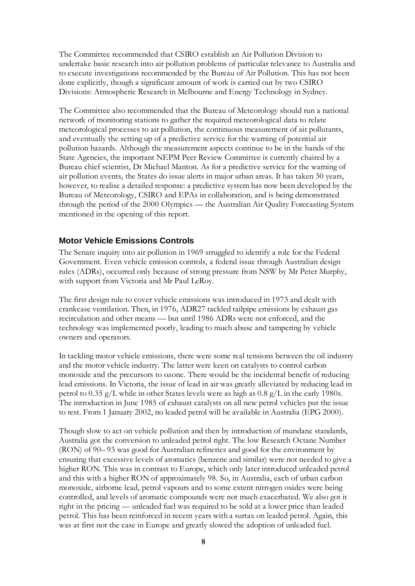The Committee recommended that CSIRO establish an Air Pollution Division to undertake basic research into air pollution problems of particular relevance to Australia and to execute investigations recommended by the Bureau of Air Pollution. This has not been done explicitly, though a significant amount of work is carried out by two CSIRO Divisions: Atmospheric Research in Melbourne and Energy Technology in Sydney.

The Committee also recommended that the Bureau of Meteorology should run a national network of monitoring stations to gather the required meteorological data to relate meteorological processes to air pollution, the continuous measurement of air pollutants, and eventually the setting up of a predictive service for the warning of potential air pollution hazards. Although the measurement aspects continue to be in the hands of the State Agencies, the important NEPM Peer Review Committee is currently chaired by a Bureau chief scientist, Dr Michael Manton. As for a predictive service for the warning of air pollution events, the States do issue alerts in major urban areas. It has taken 30 years, however, to realise a detailed response: a predictive system has now been developed by the Bureau of Meteorology, CSIRO and EPAs in collaboration, and is being demonstrated through the period of the 2000 Olympics — the Australian Air Quality Forecasting System mentioned in the opening of this report.

#### **Motor Vehicle Emissions Controls**

The Senate inquiry into air pollution in 1969 struggled to identify a role for the Federal Government. Even vehicle emission controls, a federal issue through Australian design rules (ADRs), occurred only because of strong pressure from NSW by Mr Peter Murphy, with support from Victoria and Mr Paul LeRoy.

The first design rule to cover vehicle emissions was introduced in 1973 and dealt with crankcase ventilation. Then, in 1976, ADR27 tackled tailpipe emissions by exhaust gas recirculation and other means — but until 1986 ADRs were not enforced, and the technology was implemented poorly, leading to much abuse and tampering by vehicle owners and operators.

In tackling motor vehicle emissions, there were some real tensions between the oil industry and the motor vehicle industry. The latter were keen on catalysts to control carbon monoxide and the precursors to ozone. There would be the incidental benefit of reducing lead emissions. In Victoria, the issue of lead in air was greatly alleviated by reducing lead in petrol to 0.35 g/L while in other States levels were as high as 0.8 g/L in the early 1980s. The introduction in June 1985 of exhaust catalysts on all new petrol vehicles put the issue to rest. From 1 January 2002, no leaded petrol will be available in Australia (EPG 2000).

Though slow to act on vehicle pollution and then by introduction of mundane standards, Australia got the conversion to unleaded petrol right. The low Research Octane Number (RON) of 90–93 was good for Australian refineries and good for the environment by ensuring that excessive levels of aromatics (benzene and similar) were not needed to give a higher RON. This was in contrast to Europe, which only later introduced unleaded petrol and this with a higher RON of approximately 98. So, in Australia, each of urban carbon monoxide, airborne lead, petrol vapours and to some extent nitrogen oxides were being controlled, and levels of aromatic compounds were not much exacerbated. We also got it right in the pricing — unleaded fuel was required to be sold at a lower price than leaded petrol. This has been reinforced in recent years with a surtax on leaded petrol. Again, this was at first not the case in Europe and greatly slowed the adoption of unleaded fuel.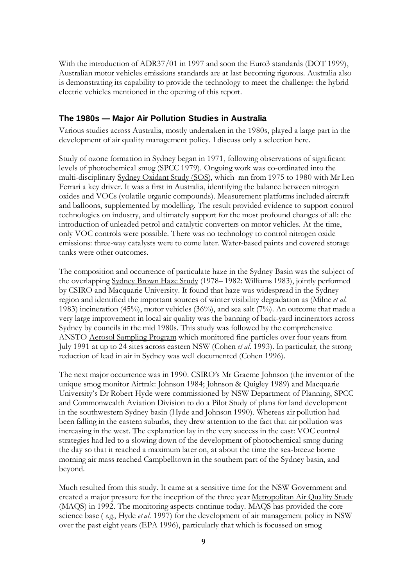With the introduction of ADR37/01 in 1997 and soon the Euro3 standards (DOT 1999), Australian motor vehicles emissions standards are at last becoming rigorous. Australia also is demonstrating its capability to provide the technology to meet the challenge: the hybrid electric vehicles mentioned in the opening of this report.

#### **The 1980s — Major Air Pollution Studies in Australia**

Various studies across Australia, mostly undertaken in the 1980s, played a large part in the development of air quality management policy. I discuss only a selection here.

Study of ozone formation in Sydney began in 1971, following observations of significant levels of photochemical smog (SPCC 1979). Ongoing work was co-ordinated into the multi-disciplinary Sydney Oxidant Study (SOS), which ran from 1975 to 1980 with Mr Len Ferrari a key driver. It was a first in Australia, identifying the balance between nitrogen oxides and VOCs (volatile organic compounds). Measurement platforms included aircraft and balloons, supplemented by modelling. The result provided evidence to support control technologies on industry, and ultimately support for the most profound changes of all: the introduction of unleaded petrol and catalytic converters on motor vehicles. At the time, only VOC controls were possible. There was no technology to control nitrogen oxide emissions: three-way catalysts were to come later. Water-based paints and covered storage tanks were other outcomes.

The composition and occurrence of particulate haze in the Sydney Basin was the subject of the overlapping Sydney Brown Haze Study (1978–1982: Williams 1983), jointly performed by CSIRO and Macquarie University. It found that haze was widespread in the Sydney region and identified the important sources of winter visibility degradation as (Milne *et al.* 1983) incineration (45%), motor vehicles (36%), and sea salt (7%). An outcome that made a very large improvement in local air quality was the banning of back-yard incinerators across Sydney by councils in the mid 1980s. This study was followed by the comprehensive ANSTO Aerosol Sampling Program which monitored fine particles over four years from July 1991 at up to 24 sites across eastern NSW (Cohen *et al*. 1993). In particular, the strong reduction of lead in air in Sydney was well documented (Cohen 1996).

The next major occurrence was in 1990. CSIRO's Mr Graeme Johnson (the inventor of the unique smog monitor Airtrak: Johnson 1984; Johnson & Quigley 1989) and Macquarie University's Dr Robert Hyde were commissioned by NSW Department of Planning, SPCC and Commonwealth Aviation Division to do a Pilot Study of plans for land development in the southwestern Sydney basin (Hyde and Johnson 1990). Whereas air pollution had been falling in the eastern suburbs, they drew attention to the fact that air pollution was increasing in the west. The explanation lay in the very success in the east: VOC control strategies had led to a slowing down of the development of photochemical smog during the day so that it reached a maximum later on, at about the time the sea-breeze borne morning air mass reached Campbelltown in the southern part of the Sydney basin, and beyond.

Much resulted from this study. It came at a sensitive time for the NSW Government and created a major pressure for the inception of the three year Metropolitan Air Quality Study (MAQS) in 1992. The monitoring aspects continue today. MAQS has provided the core science base ( *e.g.*, Hyde *et al.* 1997) for the development of air management policy in NSW over the past eight years (EPA 1996), particularly that which is focussed on smog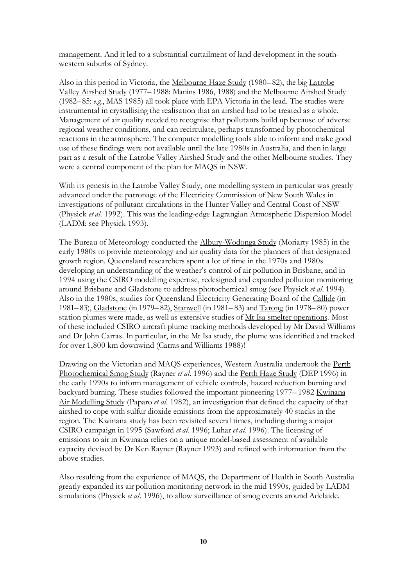management. And it led to a substantial curtailment of land development in the southwestern suburbs of Sydney.

Also in this period in Victoria, the Melbourne Haze Study (1980–82), the big Latrobe Valley Airshed Study (1977–1988: Manins 1986, 1988) and the Melbourne Airshed Study (1982–85: *e.g.*, MAS 1985) all took place with EPA Victoria in the lead. The studies were instrumental in crystallising the realisation that an airshed had to be treated as a whole. Management of air quality needed to recognise that pollutants build up because of adverse regional weather conditions, and can recirculate, perhaps transformed by photochemical reactions in the atmosphere. The computer modelling tools able to inform and make good use of these findings were not available until the late 1980s in Australia, and then in large part as a result of the Latrobe Valley Airshed Study and the other Melbourne studies. They were a central component of the plan for MAQS in NSW.

With its genesis in the Latrobe Valley Study, one modelling system in particular was greatly advanced under the patronage of the Electricity Commission of New South Wales in investigations of pollutant circulations in the Hunter Valley and Central Coast of NSW (Physick *et al.* 1992). This was the leading-edge Lagrangian Atmospheric Dispersion Model (LADM: see Physick 1993).

The Bureau of Meteorology conducted the Albury-Wodonga Study (Moriarty 1985) in the early 1980s to provide meteorology and air quality data for the planners of that designated growth region. Queensland researchers spent a lot of time in the 1970s and 1980s developing an understanding of the weather's control of air pollution in Brisbane, and in 1994 using the CSIRO modelling expertise, redesigned and expanded pollution monitoring around Brisbane and Gladstone to address photochemical smog (see Physick *et al*. 1994). Also in the 1980s, studies for Queensland Electricity Generating Board of the Callide (in 1981–83), Gladstone (in 1979–82), Stanwell (in 1981–83) and Tarong (in 1978–80) power station plumes were made, as well as extensive studies of Mt Isa smelter operations. Most of these included CSIRO aircraft plume tracking methods developed by Mr David Williams and Dr John Carras. In particular, in the Mt Isa study, the plume was identified and tracked for over 1,800 km downwind (Carras and Williams 1988)!

Drawing on the Victorian and MAQS experiences, Western Australia undertook the Perth Photochemical Smog Study (Rayner *et al*. 1996) and the Perth Haze Study (DEP 1996) in the early 1990s to inform management of vehicle controls, hazard reduction burning and backyard burning. These studies followed the important pioneering 1977–1982 Kwinana Air Modelling Study (Paparo *et al*. 1982), an investigation that defined the capacity of that airshed to cope with sulfur dioxide emissions from the approximately 40 stacks in the region. The Kwinana study has been revisited several times, including during a major CSIRO campaign in 1995 (Sawford *et al*. 1996; Luhar *et al*. 1996). The licensing of emissions to air in Kwinana relies on a unique model-based assessment of available capacity devised by Dr Ken Rayner (Rayner 1993) and refined with information from the above studies.

Also resulting from the experience of MAQS, the Department of Health in South Australia greatly expanded its air pollution monitoring network in the mid 1990s, guided by LADM simulations (Physick *et al*. 1996), to allow surveillance of smog events around Adelaide.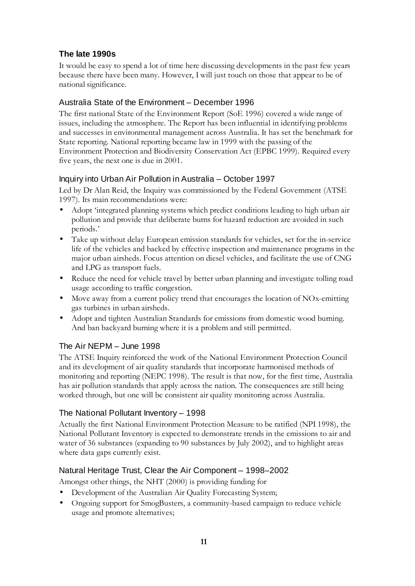# **The late 1990s**

It would be easy to spend a lot of time here discussing developments in the past few years because there have been many. However, I will just touch on those that appear to be of national significance.

## Australia State of the Environment – December 1996

The first national State of the Environment Report (SoE 1996) covered a wide range of issues, including the atmosphere. The Report has been influential in identifying problems and successes in environmental management across Australia. It has set the benchmark for State reporting. National reporting became law in 1999 with the passing of the Environment Protection and Biodiversity Conservation Act (EPBC 1999). Required every five years, the next one is due in 2001.

# Inquiry into Urban Air Pollution in Australia – October 1997

Led by Dr Alan Reid, the Inquiry was commissioned by the Federal Government (ATSE 1997). Its main recommendations were:

- Adopt 'integrated planning systems which predict conditions leading to high urban air pollution and provide that deliberate burns for hazard reduction are avoided in such periods.'
- Take up without delay European emission standards for vehicles, set for the in-service life of the vehicles and backed by effective inspection and maintenance programs in the major urban airsheds. Focus attention on diesel vehicles, and facilitate the use of CNG and LPG as transport fuels.
- Reduce the need for vehicle travel by better urban planning and investigate tolling road usage according to traffic congestion.
- Move away from a current policy trend that encourages the location of NOx-emitting gas turbines in urban airsheds.
- Adopt and tighten Australian Standards for emissions from domestic wood burning. And ban backyard burning where it is a problem and still permitted.

# The Air NEPM – June 1998

The ATSE Inquiry reinforced the work of the National Environment Protection Council and its development of air quality standards that incorporate harmonised methods of monitoring and reporting (NEPC 1998). The result is that now, for the first time, Australia has air pollution standards that apply across the nation. The consequences are still being worked through, but one will be consistent air quality monitoring across Australia.

## The National Pollutant Inventory – 1998

Actually the first National Environment Protection Measure to be ratified (NPI 1998), the National Pollutant Inventory is expected to demonstrate trends in the emissions to air and water of 36 substances (expanding to 90 substances by July 2002), and to highlight areas where data gaps currently exist.

# Natural Heritage Trust, Clear the Air Component – 1998–2002

Amongst other things, the NHT (2000) is providing funding for

- Development of the Australian Air Quality Forecasting System;
- Ongoing support for SmogBusters, a community-based campaign to reduce vehicle usage and promote alternatives;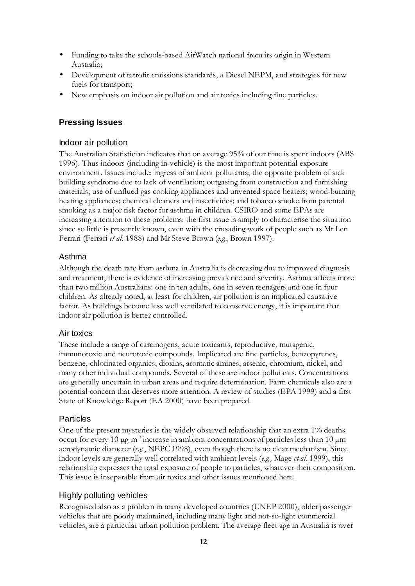- Funding to take the schools-based AirWatch national from its origin in Western Australia;
- Development of retrofit emissions standards, a Diesel NEPM, and strategies for new fuels for transport;
- New emphasis on indoor air pollution and air toxics including fine particles.

## **Pressing Issues**

## Indoor air pollution

The Australian Statistician indicates that on average 95% of our time is spent indoors (ABS 1996). Thus indoors (including in-vehicle) is the most important potential exposure environment. Issues include: ingress of ambient pollutants; the opposite problem of sick building syndrome due to lack of ventilation; outgasing from construction and furnishing materials; use of unflued gas cooking appliances and unvented space heaters; wood-burning heating appliances; chemical cleaners and insecticides; and tobacco smoke from parental smoking as a major risk factor for asthma in children. CSIRO and some EPAs are increasing attention to these problems: the first issue is simply to characterise the situation since so little is presently known, even with the crusading work of people such as Mr Len Ferrari (Ferrari *et al*. 1988) and Mr Steve Brown (*e.g*., Brown 1997).

#### Asthma

Although the death rate from asthma in Australia is decreasing due to improved diagnosis and treatment, there is evidence of increasing prevalence and severity. Asthma affects more than two million Australians: one in ten adults, one in seven teenagers and one in four children. As already noted, at least for children, air pollution is an implicated causative factor. As buildings become less well ventilated to conserve energy, it is important that indoor air pollution is better controlled.

#### Air toxics

These include a range of carcinogens, acute toxicants, reproductive, mutagenic, immunotoxic and neurotoxic compounds. Implicated are fine particles, benzopyrenes, benzene, chlorinated organics, dioxins, aromatic amines, arsenic, chromium, nickel, and many other individual compounds. Several of these are indoor pollutants. Concentrations are generally uncertain in urban areas and require determination. Farm chemicals also are a potential concern that deserves more attention. A review of studies (EPA 1999) and a first State of Knowledge Report (EA 2000) have been prepared.

## Particles

One of the present mysteries is the widely observed relationship that an extra 1% deaths occur for every 10  $\mu$ g m<sup>-3</sup> increase in ambient concentrations of particles less than 10  $\mu$ m aerodynamic diameter (*e.g.*, NEPC 1998), even though there is no clear mechanism. Since indoor levels are generally well correlated with ambient levels (*e.g.,* Mage *et al*. 1999), this relationship expresses the total exposure of people to particles, whatever their composition. This issue is inseparable from air toxics and other issues mentioned here.

## Highly polluting vehicles

Recognised also as a problem in many developed countries (UNEP 2000), older passenger vehicles that are poorly maintained, including many light and not-so-light commercial vehicles, are a particular urban pollution problem. The average fleet age in Australia is over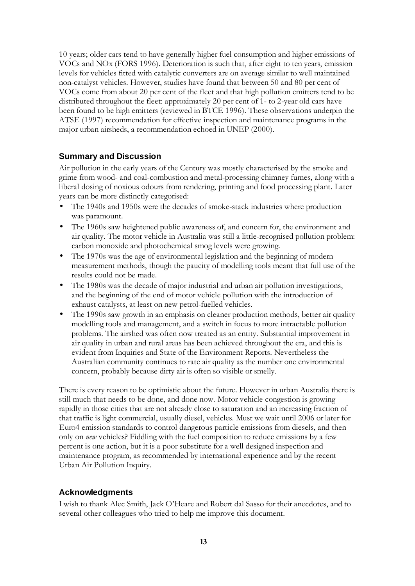10 years; older cars tend to have generally higher fuel consumption and higher emissions of VOCs and NOx (FORS 1996). Deterioration is such that, after eight to ten years, emission levels for vehicles fitted with catalytic converters are on average similar to well maintained non-catalyst vehicles. However, studies have found that between 50 and 80 per cent of VOCs come from about 20 per cent of the fleet and that high pollution emitters tend to be distributed throughout the fleet: approximately 20 per cent of 1- to 2-year old cars have been found to be high emitters (reviewed in BTCE 1996). These observations underpin the ATSE (1997) recommendation for effective inspection and maintenance programs in the major urban airsheds, a recommendation echoed in UNEP (2000).

#### **Summary and Discussion**

Air pollution in the early years of the Century was mostly characterised by the smoke and grime from wood- and coal-combustion and metal-processing chimney fumes, along with a liberal dosing of noxious odours from rendering, printing and food processing plant. Later years can be more distinctly categorised:

- The 1940s and 1950s were the decades of smoke-stack industries where production was paramount.
- The 1960s saw heightened public awareness of, and concern for, the environment and air quality. The motor vehicle in Australia was still a little-recognised pollution problem: carbon monoxide and photochemical smog levels were growing.
- The 1970s was the age of environmental legislation and the beginning of modern measurement methods, though the paucity of modelling tools meant that full use of the results could not be made.
- The 1980s was the decade of major industrial and urban air pollution investigations, and the beginning of the end of motor vehicle pollution with the introduction of exhaust catalysts, at least on new petrol-fuelled vehicles.
- The 1990s saw growth in an emphasis on cleaner production methods, better air quality modelling tools and management, and a switch in focus to more intractable pollution problems. The airshed was often now treated as an entity. Substantial improvement in air quality in urban and rural areas has been achieved throughout the era, and this is evident from Inquiries and State of the Environment Reports. Nevertheless the Australian community continues to rate air quality as the number one environmental concern, probably because dirty air is often so visible or smelly.

There is every reason to be optimistic about the future. However in urban Australia there is still much that needs to be done, and done now. Motor vehicle congestion is growing rapidly in those cities that are not already close to saturation and an increasing fraction of that traffic is light commercial, usually diesel, vehicles. Must we wait until 2006 or later for Euro4 emission standards to control dangerous particle emissions from diesels, and then only on *new* vehicles? Fiddling with the fuel composition to reduce emissions by a few percent is one action, but it is a poor substitute for a well designed inspection and maintenance program, as recommended by international experience and by the recent Urban Air Pollution Inquiry.

#### **Acknowledgments**

I wish to thank Alec Smith, Jack O'Heare and Robert dal Sasso for their anecdotes, and to several other colleagues who tried to help me improve this document.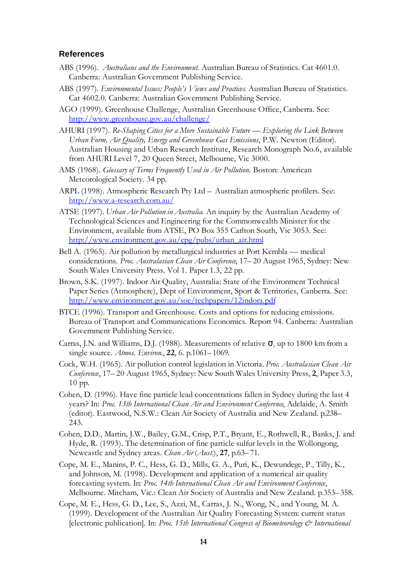#### **References**

- ABS (1996). *Australians and the Environment*. Australian Bureau of Statistics. Cat 4601.0. Canberra: Australian Government Publishing Service.
- ABS (1997). *Environmental Issues: People's Views and Practices*. Australian Bureau of Statistics. Cat 4602.0. Canberra: Australian Government Publishing Service.
- AGO (1999). Greenhouse Challenge, Australian Greenhouse Office, Canberra. See: http://www.greenhouse.gov.au/challenge/
- AHURI (1997). *Re-Shaping Cities for a More Sustainable Future Exploring the Link Between Urban Form, Air Quality, Energy and Greenhouse Gas Emissions*, P.W. Newton (Editor). Australian Housing and Urban Research Institute, Research Monograph No.6, available from AHURI Level 7, 20 Queen Street, Melbourne, Vic 3000.
- AMS (1968). *Glossary of Terms Frequently Used in Air Pollution*. Boston: American Meteorological Society. 34 pp.
- ARPL (1998). Atmospheric Research Pty Ltd Australian atmospheric profilers. See: http://www.a-research.com.au/
- ATSE (1997). *Urban Air Pollution in Australia*. An inquiry by the Australian Academy of Technological Sciences and Engineering for the Commonwealth Minister for the Environment, available from ATSE, PO Box 355 Carlton South, Vic 3053. See: http://www.environment.gov.au/epg/pubs/urban\_air.html
- Bell A. (1965). Air pollution by metallurgical industries at Port Kembla medical considerations. *Proc. Australasian Clean Air Conference*, 17–20 August 1965, Sydney: New South Wales University Press. Vol 1. Paper 1.3, 22 pp.
- Brown, S.K. (1997). Indoor Air Quality, Australia: State of the Environment Technical Paper Series (Atmosphere), Dept of Environment, Sport & Territories, Canberra. See: http://www.environment.gov.au/soe/techpapers/12indora.pdf
- BTCE (1996). Transport and Greenhouse. Costs and options for reducing emissions. Bureau of Transport and Communications Economics. Report 94. Canberra: Australian Government Publishing Service.
- Carras, J.N. and Williams, D.J. (1988). Measurements of relative  $\sigma$ <sub>y</sub> up to 1800 km from a single source. *Atmos. Environ.*, **22**, 6. p.1061–1069.
- Cock, W.H. (1965). Air pollution control legislation in Victoria. *Proc. Australasian Clean Air Conference*, 17–20 August 1965, Sydney: New South Wales University Press, **2**, Paper 3.3, 10 pp.
- Cohen, D. (1996). Have fine particle lead concentrations fallen in Sydney during the last 4 years? In: *Proc. 13th International Clean Air and Environment Conference*, Adelaide, A. Smith (editor). Eastwood, N.S.W.: Clean Air Society of Australia and New Zealand. p.238– 243.
- Cohen, D.D., Martin, J.W., Bailey, G.M., Crisp, P.T., Bryant, E., Rothwell, R., Banks, J. and Hyde, R. (1993). The determination of fine particle sulfur levels in the Wollongong, Newcastle and Sydney areas. *Clean Air* (*Aust.*), **27**, p.63–71.
- Cope, M. E., Manins, P. C., Hess, G. D., Mills, G. A., Puri, K., Dewundege, P., Tilly, K., and Johnson, M. (1998). Development and application of a numerical air quality forecasting system. In: *Proc. 14th International Clean Air and Environment Conference*, Melbourne. Mitcham, Vic.: Clean Air Society of Australia and New Zealand. p.353–358.
- Cope, M. E., Hess, G. D., Lee, S., Azzi, M., Carras, J. N., Wong, N., and Young, M. A. (1999). Development of the Australian Air Quality Forecasting System: current status [electronic publication]. In: *Proc. 15th International Congress of Biometeorology & International*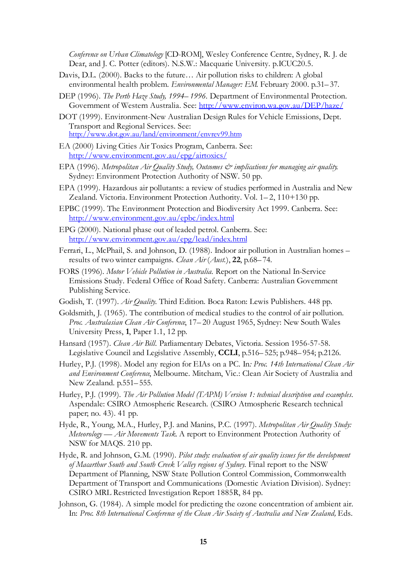*Conference on Urban Climatology* [CD-ROM], Wesley Conference Centre, Sydney, R. J. de Dear, and J. C. Potter (editors). N.S.W.: Macquarie University. p.ICUC20.5.

- Davis, D.L. (2000). Backs to the future… Air pollution risks to children: A global environmental health problem. *Environmental Manager: EM*. February 2000. p.31–37.
- DEP (1996). *The Perth Haze Study, 1994–1996*. Department of Environmental Protection. Government of Western Australia. See: http://www.environ.wa.gov.au/DEP/haze/
- DOT (1999). Environment-New Australian Design Rules for Vehicle Emissions, Dept. Transport and Regional Services. See: http://www.dot.gov.au/land/environment/envrev99.htm
- EA (2000) Living Cities Air Toxics Program, Canberra. See: http://www.environment.gov.au/epg/airtoxics/
- EPA (1996). *Metropolitan Air Quality Study, Outcomes & implications for managing air quality*. Sydney: Environment Protection Authority of NSW. 50 pp.
- EPA (1999). Hazardous air pollutants: a review of studies performed in Australia and New Zealand. Victoria. Environment Protection Authority. Vol. 1–2, 110+130 pp.
- EPBC (1999). The Environment Protection and Biodiversity Act 1999. Canberra. See: http://www.environment.gov.au/epbc/index.html
- EPG (2000). National phase out of leaded petrol. Canberra. See: http://www.environment.gov.au/epg/lead/index.html
- Ferrari, L., McPhail, S. and Johnson, D. (1988). Indoor air pollution in Australian homes results of two winter campaigns. *Clean Air* (*Aust.*), **22**, p.68–74.
- FORS (1996). *Motor Vehicle Pollution in Australia.* Report on the National In-Service Emissions Study. Federal Office of Road Safety. Canberra: Australian Government Publishing Service.
- Godish, T. (1997). *Air Quality*. Third Edition. Boca Raton: Lewis Publishers. 448 pp.
- Goldsmith, J. (1965). The contribution of medical studies to the control of air pollution. *Proc. Australasian Clean Air Conference*, 17–20 August 1965, Sydney: New South Wales University Press, **1**, Paper 1.1, 12 pp.
- Hansard (1957). *Clean Air Bill*. Parliamentary Debates, Victoria. Session 1956-57-58. Legislative Council and Legislative Assembly, **CCLI**, p.516–525; p.948–954; p.2126.
- Hurley, P.J. (1998). Model any region for EIAs on a PC. In*: Proc. 14th International Clean Air and Environment Conference*, Melbourne. Mitcham, Vic.: Clean Air Society of Australia and New Zealand. p.551–555.
- Hurley, P.J. (1999). *The Air Pollution Model (TAPM) Version 1: technical description and examples*. Aspendale: CSIRO Atmospheric Research. (CSIRO Atmospheric Research technical paper; no. 43). 41 pp.
- Hyde, R., Young, M.A., Hurley, P.J. and Manins, P.C. (1997). *Metropolitan Air Quality Study: Meteorology — Air Movements Task*. A report to Environment Protection Authority of NSW for MAQS. 210 pp.
- Hyde, R. and Johnson, G.M. (1990). *Pilot study: evaluation of air quality issues for the development of Macarthur South and South Creek Valley regions of Sydney*. Final report to the NSW Department of Planning, NSW State Pollution Control Commission, Commonwealth Department of Transport and Communications (Domestic Aviation Division). Sydney: CSIRO MRL Restricted Investigation Report 1885R, 84 pp.
- Johnson, G. (1984). A simple model for predicting the ozone concentration of ambient air. In: *Proc. 8th International Conference of the Clean Air Society of Australia and New Zealand,* Eds.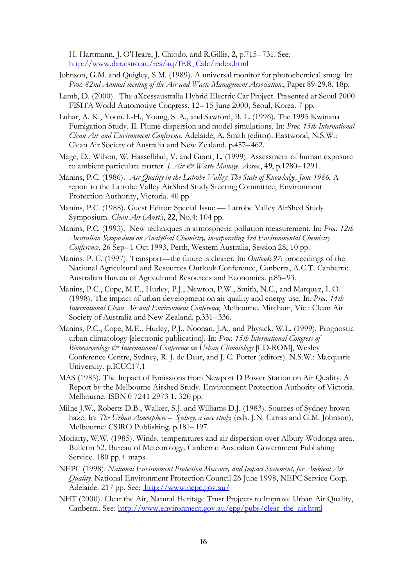H. Hartmann, J. O'Heare, J. Chiodo, and R.Gillis, **2**, p.715–731. See: http://www.dar.csiro.au/res/aq/IER\_Calc/index.html

- Johnson, G.M. and Quigley, S.M. (1989). A universal monitor for photochemical smog. In: *Proc. 82nd Annual meeting of the Air and Waste Management Association.*, Paper 89-29.8, 18p.
- Lamb, D. (2000). The aXcessaustralia Hybrid Electric Car Project. Presented at Seoul 2000 FISITA World Automotive Congress, 12–15 June 2000, Seoul, Korea. 7 pp.
- Luhar, A. K., Yoon. I.-H., Young, S. A., and Sawford, B. L. (1996). The 1995 Kwinana Fumigation Study. II. Plume dispersion and model simulations. In: *Proc. 13th International Clean Air and Environment Conference*, Adelaide, A. Smith (editor). Eastwood, N.S.W.: Clean Air Society of Australia and New Zealand. p.457–462.
- Mage, D., Wilson, W. Hasselblad, V. and Grant, L. (1999). Assessment of human exposure to ambient particulate matter. *J. Air & Waste Manage. Assoc.*, **49**, p.1280–1291.
- Manins, P.C. (1986). *Air Quality in the Latrobe Valley: The State of Knowledge, June 1986*. A report to the Latrobe Valley AirShed Study Steering Committee, Environment Protection Authority, Victoria. 40 pp.
- Manins, P.C. (1988). Guest Editor: Special Issue Latrobe Valley AirShed Study Symposium. *Clean Air* (*Aust*.), **22**, No.4: 104 pp.
- Manins, P.C. (1993). New techniques in atmospheric pollution measurement. In: *Proc. 12th Australian Symposium on Analytical Chemistry, incorporating 3rd Environmental Chemistry Conference*, 26 Sep–1 Oct 1993, Perth, Western Australia, Session 28, 10 pp.
- Manins, P. C. (1997). Transport— the future is clearer. In: *Outlook 97*: proceedings of the National Agricultural and Resources Outlook Conference, Canberra, A.C.T. Canberra: Australian Bureau of Agricultural Resources and Economics. p.85–93.
- Manins, P.C., Cope, M.E., Hurley, P.J., Newton, P.W., Smith, N.C., and Marquez, L.O. (1998). The impact of urban development on air quality and energy use. In*: Proc. 14th International Clean Air and Environment Conference*, Melbourne. Mitcham, Vic.: Clean Air Society of Australia and New Zealand. p.331–336.
- Manins, P.C., Cope, M.E., Hurley, P.J., Noonan, J.A., and Physick, W.L. (1999). Prognostic urban climatology [electronic publication]. In: *Proc. 15th International Congress of Biometeorology & International Conference on Urban Climatology* [CD-ROM], Wesley Conference Centre, Sydney, R. J. de Dear, and J. C. Potter (editors). N.S.W.: Macquarie University. p.ICUC17.1
- MAS (1985). The Impact of Emissions from Newport D Power Station on Air Quality. A Report by the Melbourne Airshed Study. Environment Protection Authority of Victoria. Melbourne. ISBN 0 7241 2973 1. 320 pp.
- Milne J.W., Roberts D.B., Walker, S.J. and Williams D.J. (1983). Sources of Sydney brown haze. In: *The Urban Atmosphere – Sydney, a case study*, (eds. J.N. Carras and G.M. Johnson), Melbourne: CSIRO Publishing. p.181–197.
- Moriarty, W.W. (1985). Winds, temperatures and air dispersion over Albury-Wodonga area. Bulletin 52. Bureau of Meteorology. Canberra: Australian Government Publishing Service. 180 pp.+ maps.
- NEPC (1998). *National Environment Protection Measure, and Impact Statement, for Ambient Air Quality.* National Environment Protection Council 26 June 1998, NEPC Service Corp. Adelaide. 217 pp. See: http://www.nepc.gov.au/
- NHT (2000). Clear the Air, Natural Heritage Trust Projects to Improve Urban Air Quality, Canberra. See: http://www.environment.gov.au/epg/pubs/clear\_the\_air.html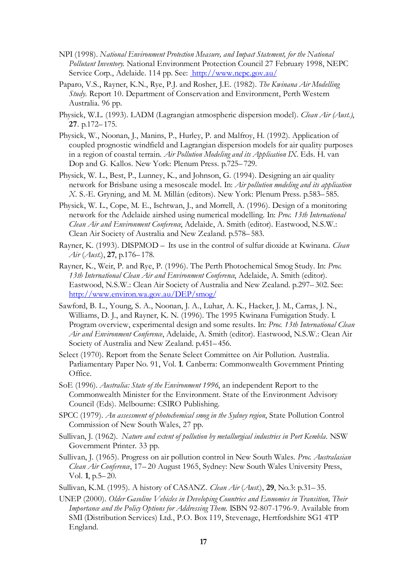- NPI (1998). *National Environment Protection Measure, and Impact Statement, for the National Pollutant Inventory*. National Environment Protection Council 27 February 1998, NEPC Service Corp., Adelaide. 114 pp. See: http://www.nepc.gov.au/
- Paparo, V.S., Rayner, K.N., Rye, P.J. and Rosher, J.E. (1982). *The Kwinana Air Modelling Study*. Report 10. Department of Conservation and Environment, Perth Western Australia. 96 pp.
- Physick, W.L. (1993). LADM (Lagrangian atmospheric dispersion model). *Clean Air (Aust.)*, **27**. p.172–175.
- Physick, W., Noonan, J., Manins, P., Hurley, P. and Malfroy, H. (1992). Application of coupled prognostic windfield and Lagrangian dispersion models for air quality purposes in a region of coastal terrain. *Air Pollution Modeling and its Application IX*. Eds. H. van Dop and G. Kallos. New York: Plenum Press. p.725–729.
- Physick, W. L., Best, P., Lunney, K., and Johnson, G. (1994). Designing an air quality network for Brisbane using a mesoscale model. In: *Air pollution modeling and its application X*. S.-E. Gryning, and M. M. Millán (editors). New York: Plenum Press. p.583–585.
- Physick, W. L., Cope, M. E., Ischtwan, J., and Morrell, A. (1996). Design of a monitoring network for the Adelaide airshed using numerical modelling. In: *Proc. 13th International Clean Air and Environment Conference*, Adelaide, A. Smith (editor). Eastwood, N.S.W.: Clean Air Society of Australia and New Zealand. p.578–583.
- Rayner, K. (1993). DISPMOD Its use in the control of sulfur dioxide at Kwinana. *Clean Air* (*Aust.*), **27**, p.176–178.
- Rayner, K., Weir, P. and Rye, P. (1996). The Perth Photochemical Smog Study. In: *Proc. 13th International Clean Air and Environment Conference*, Adelaide, A. Smith (editor). Eastwood, N.S.W.: Clean Air Society of Australia and New Zealand. p.297–302. See: http://www.environ.wa.gov.au/DEP/smog/
- Sawford, B. L., Young, S. A., Noonan, J. A., Luhar, A. K., Hacker, J. M., Carras, J. N., Williams, D. J., and Rayner, K. N. (1996). The 1995 Kwinana Fumigation Study. I. Program overview, experimental design and some results. In: *Proc. 13th International Clean Air and Environment Conference*, Adelaide, A. Smith (editor). Eastwood, N.S.W.: Clean Air Society of Australia and New Zealand. p.451–456.
- Select (1970). Report from the Senate Select Committee on Air Pollution. Australia. Parliamentary Paper No. 91, Vol. **1**. Canberra: Commonwealth Government Printing Office.
- SoE (1996). *Australia: State of the Environment 1996*, an independent Report to the Commonwealth Minister for the Environment. State of the Environment Advisory Council (Eds). Melbourne: CSIRO Publishing.
- SPCC (1979). *An assessment of photochemical smog in the Sydney region*, State Pollution Control Commission of New South Wales, 27 pp.
- Sullivan, J. (1962). *Nature and extent of pollution by metallurgical industries in Port Kembla*. NSW Government Printer. 33 pp.
- Sullivan, J. (1965). Progress on air pollution control in New South Wales. *Proc. Australasian Clean Air Conference*, 17–20 August 1965, Sydney: New South Wales University Press, Vol. **1**, p.5–20.
- Sullivan, K.M. (1995). A history of CASANZ. *Clean Air* (*Aust.*), **29**, No.3: p.31–35.
- UNEP (2000). *Older Gasoline Vehicles in Developing Countries and Economies in Transition, Their Importance and the Policy Options for Addressing Them*. ISBN 92-807-1796-9. Available from SMI (Distribution Services) Ltd., P.O. Box 119, Stevenage, Hertfordshire SG1 4TP England.